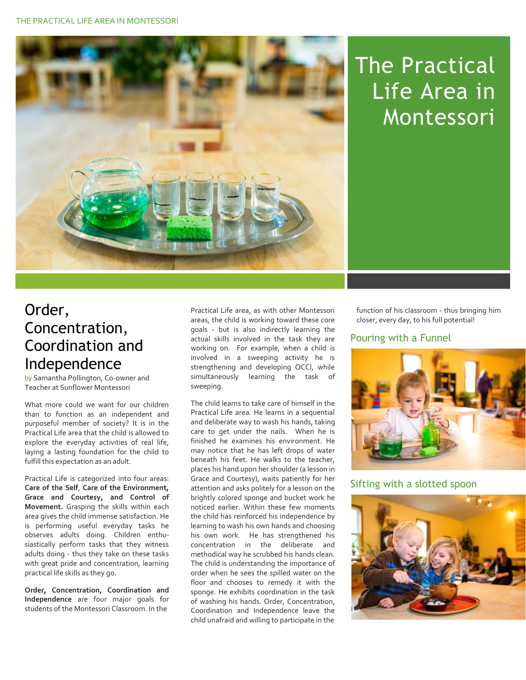

## The Practical Life Area in Montessori

## Order, Concentration, Coordination and Independence

by Samantha Pollington, Co-owner and Teacher at Sunflower Montessori

What more could we want for our children than to function as an independent and purposeful member of society? It is in the Practical Life area that the child is allowed to explore the everyday activities of real life, laying a lasting foundation for the child to fulfill this expectation as an adult.

Practical Life is categorized into four areas: **Care of the Self**, **Care of the Environment, Grace and Courtesy, and Control of Movement.** Grasping the skills within each area gives the child immense satisfaction. He is performing useful everyday tasks he observes adults doing. Children enthusiastically perform tasks that they witness adults doing - thus they take on these tasks with great pride and concentration, learning practical life skills as they go.

**Order, Concentration, Coordination and Independence** are four major goals for students of the Montessori Classroom. In the

Practical Life area, as with other Montessori areas, the child is working toward these core goals - but is also indirectly learning the actual skills involved in the task they are working on. For example, when a child is involved in a sweeping activity he is strengthening and developing OCCI, while simultaneously learning the task of sweeping.

The child learns to take care of himself in the Practical Life area. He learns in a sequential and deliberate way to wash his hands, taking care to get under the nails. When he is finished he examines his environment. He may notice that he has left drops of water beneath his feet. He walks to the teacher, places his hand upon her shoulder (a lesson in Grace and Courtesy), waits patiently for her attention and asks politely for a lesson on the brightly colored sponge and bucket work he noticed earlier. Within these few moments the child has reinforced his independence by learning to wash his own hands and choosing his own work. He has strengthened his concentration in the deliberate and methodical way he scrubbed his hands clean. The child is understanding the importance of order when he sees the spilled water on the floor and chooses to remedy it with the sponge. He exhibits coordination in the task of washing his hands. Order, Concentration, Coordination and Independence leave the child unafraid and willing to participate in the

function of his classroom - thus bringing him closer, every day, to his full potential!

## Pouring with a Funnel



## Sifting with a slotted spoon